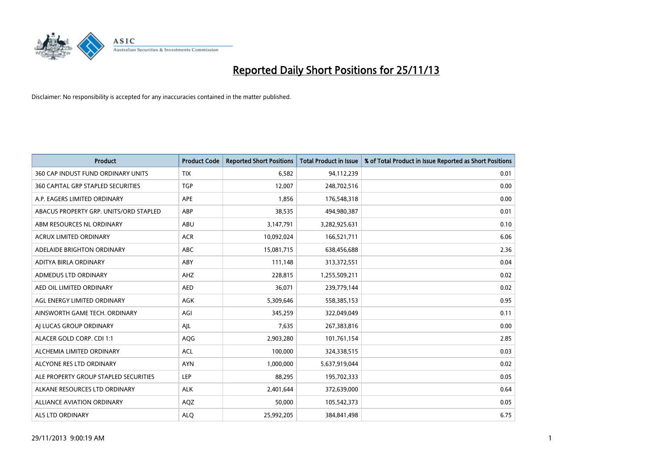

| <b>Product</b>                         | <b>Product Code</b> | <b>Reported Short Positions</b> | <b>Total Product in Issue</b> | % of Total Product in Issue Reported as Short Positions |
|----------------------------------------|---------------------|---------------------------------|-------------------------------|---------------------------------------------------------|
| 360 CAP INDUST FUND ORDINARY UNITS     | <b>TIX</b>          | 6,582                           | 94,112,239                    | 0.01                                                    |
| 360 CAPITAL GRP STAPLED SECURITIES     | <b>TGP</b>          | 12,007                          | 248,702,516                   | 0.00                                                    |
| A.P. EAGERS LIMITED ORDINARY           | APE                 | 1,856                           | 176,548,318                   | 0.00                                                    |
| ABACUS PROPERTY GRP. UNITS/ORD STAPLED | ABP                 | 38,535                          | 494,980,387                   | 0.01                                                    |
| ABM RESOURCES NL ORDINARY              | ABU                 | 3,147,791                       | 3,282,925,631                 | 0.10                                                    |
| <b>ACRUX LIMITED ORDINARY</b>          | <b>ACR</b>          | 10,092,024                      | 166,521,711                   | 6.06                                                    |
| ADELAIDE BRIGHTON ORDINARY             | <b>ABC</b>          | 15,081,715                      | 638,456,688                   | 2.36                                                    |
| ADITYA BIRLA ORDINARY                  | ABY                 | 111,148                         | 313,372,551                   | 0.04                                                    |
| ADMEDUS LTD ORDINARY                   | AHZ                 | 228,815                         | 1,255,509,211                 | 0.02                                                    |
| AED OIL LIMITED ORDINARY               | <b>AED</b>          | 36,071                          | 239,779,144                   | 0.02                                                    |
| AGL ENERGY LIMITED ORDINARY            | AGK                 | 5,309,646                       | 558,385,153                   | 0.95                                                    |
| AINSWORTH GAME TECH. ORDINARY          | AGI                 | 345,259                         | 322,049,049                   | 0.11                                                    |
| AI LUCAS GROUP ORDINARY                | AJL                 | 7,635                           | 267,383,816                   | 0.00                                                    |
| ALACER GOLD CORP. CDI 1:1              | AQG                 | 2,903,280                       | 101,761,154                   | 2.85                                                    |
| ALCHEMIA LIMITED ORDINARY              | <b>ACL</b>          | 100,000                         | 324,338,515                   | 0.03                                                    |
| ALCYONE RES LTD ORDINARY               | <b>AYN</b>          | 1,000,000                       | 5,637,919,044                 | 0.02                                                    |
| ALE PROPERTY GROUP STAPLED SECURITIES  | LEP                 | 88,295                          | 195,702,333                   | 0.05                                                    |
| ALKANE RESOURCES LTD ORDINARY          | <b>ALK</b>          | 2,401,644                       | 372,639,000                   | 0.64                                                    |
| <b>ALLIANCE AVIATION ORDINARY</b>      | AQZ                 | 50,000                          | 105,542,373                   | 0.05                                                    |
| ALS LTD ORDINARY                       | <b>ALO</b>          | 25,992,205                      | 384, 841, 498                 | 6.75                                                    |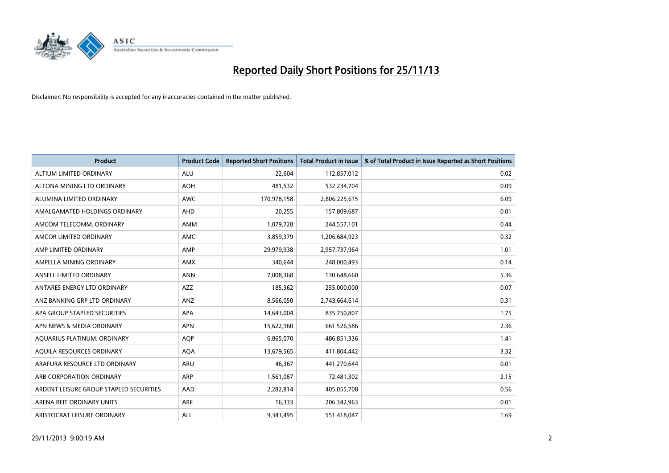

| <b>Product</b>                          | <b>Product Code</b> | <b>Reported Short Positions</b> | <b>Total Product in Issue</b> | % of Total Product in Issue Reported as Short Positions |
|-----------------------------------------|---------------------|---------------------------------|-------------------------------|---------------------------------------------------------|
| ALTIUM LIMITED ORDINARY                 | <b>ALU</b>          | 22,604                          | 112,857,012                   | 0.02                                                    |
| ALTONA MINING LTD ORDINARY              | <b>AOH</b>          | 481,532                         | 532,234,704                   | 0.09                                                    |
| ALUMINA LIMITED ORDINARY                | <b>AWC</b>          | 170,978,158                     | 2,806,225,615                 | 6.09                                                    |
| AMALGAMATED HOLDINGS ORDINARY           | AHD                 | 20,255                          | 157,809,687                   | 0.01                                                    |
| AMCOM TELECOMM, ORDINARY                | AMM                 | 1,079,728                       | 244,557,101                   | 0.44                                                    |
| AMCOR LIMITED ORDINARY                  | AMC                 | 3,859,379                       | 1,206,684,923                 | 0.32                                                    |
| AMP LIMITED ORDINARY                    | AMP                 | 29,979,938                      | 2,957,737,964                 | 1.01                                                    |
| AMPELLA MINING ORDINARY                 | AMX                 | 340,644                         | 248,000,493                   | 0.14                                                    |
| ANSELL LIMITED ORDINARY                 | <b>ANN</b>          | 7,008,368                       | 130,648,660                   | 5.36                                                    |
| ANTARES ENERGY LTD ORDINARY             | AZZ                 | 185,362                         | 255,000,000                   | 0.07                                                    |
| ANZ BANKING GRP LTD ORDINARY            | ANZ                 | 8,566,050                       | 2,743,664,614                 | 0.31                                                    |
| APA GROUP STAPLED SECURITIES            | APA                 | 14,643,004                      | 835,750,807                   | 1.75                                                    |
| APN NEWS & MEDIA ORDINARY               | <b>APN</b>          | 15,622,960                      | 661,526,586                   | 2.36                                                    |
| AQUARIUS PLATINUM. ORDINARY             | AQP                 | 6,865,070                       | 486,851,336                   | 1.41                                                    |
| AQUILA RESOURCES ORDINARY               | <b>AQA</b>          | 13,679,565                      | 411,804,442                   | 3.32                                                    |
| ARAFURA RESOURCE LTD ORDINARY           | ARU                 | 46,367                          | 441,270,644                   | 0.01                                                    |
| ARB CORPORATION ORDINARY                | ARP                 | 1,561,067                       | 72,481,302                    | 2.15                                                    |
| ARDENT LEISURE GROUP STAPLED SECURITIES | AAD                 | 2,282,814                       | 405,055,708                   | 0.56                                                    |
| ARENA REIT ORDINARY UNITS               | <b>ARF</b>          | 16,333                          | 206,342,963                   | 0.01                                                    |
| ARISTOCRAT LEISURE ORDINARY             | ALL                 | 9,343,495                       | 551,418,047                   | 1.69                                                    |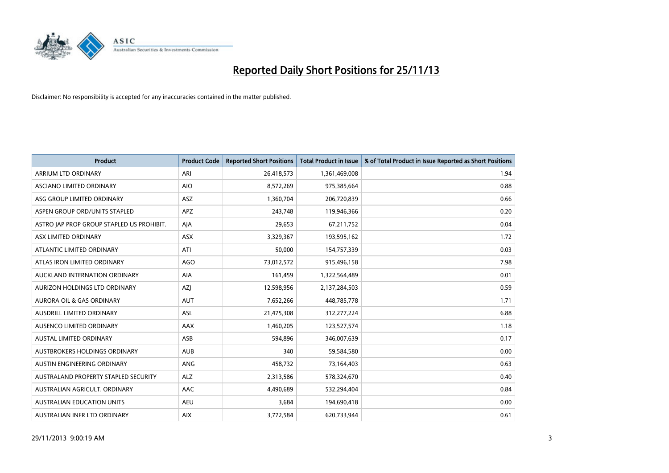

| <b>Product</b>                            | <b>Product Code</b> | <b>Reported Short Positions</b> | <b>Total Product in Issue</b> | % of Total Product in Issue Reported as Short Positions |
|-------------------------------------------|---------------------|---------------------------------|-------------------------------|---------------------------------------------------------|
| ARRIUM LTD ORDINARY                       | ARI                 | 26,418,573                      | 1,361,469,008                 | 1.94                                                    |
| ASCIANO LIMITED ORDINARY                  | <b>AIO</b>          | 8,572,269                       | 975,385,664                   | 0.88                                                    |
| ASG GROUP LIMITED ORDINARY                | <b>ASZ</b>          | 1,360,704                       | 206,720,839                   | 0.66                                                    |
| ASPEN GROUP ORD/UNITS STAPLED             | APZ                 | 243,748                         | 119,946,366                   | 0.20                                                    |
| ASTRO JAP PROP GROUP STAPLED US PROHIBIT. | AJA                 | 29,653                          | 67,211,752                    | 0.04                                                    |
| ASX LIMITED ORDINARY                      | ASX                 | 3,329,367                       | 193,595,162                   | 1.72                                                    |
| ATLANTIC LIMITED ORDINARY                 | ATI                 | 50,000                          | 154,757,339                   | 0.03                                                    |
| ATLAS IRON LIMITED ORDINARY               | <b>AGO</b>          | 73,012,572                      | 915,496,158                   | 7.98                                                    |
| AUCKLAND INTERNATION ORDINARY             | <b>AIA</b>          | 161,459                         | 1,322,564,489                 | 0.01                                                    |
| AURIZON HOLDINGS LTD ORDINARY             | AZI                 | 12,598,956                      | 2,137,284,503                 | 0.59                                                    |
| AURORA OIL & GAS ORDINARY                 | <b>AUT</b>          | 7,652,266                       | 448,785,778                   | 1.71                                                    |
| AUSDRILL LIMITED ORDINARY                 | ASL                 | 21,475,308                      | 312,277,224                   | 6.88                                                    |
| AUSENCO LIMITED ORDINARY                  | AAX                 | 1,460,205                       | 123,527,574                   | 1.18                                                    |
| <b>AUSTAL LIMITED ORDINARY</b>            | ASB                 | 594,896                         | 346,007,639                   | 0.17                                                    |
| AUSTBROKERS HOLDINGS ORDINARY             | <b>AUB</b>          | 340                             | 59,584,580                    | 0.00                                                    |
| AUSTIN ENGINEERING ORDINARY               | ANG                 | 458,732                         | 73,164,403                    | 0.63                                                    |
| AUSTRALAND PROPERTY STAPLED SECURITY      | <b>ALZ</b>          | 2,313,586                       | 578,324,670                   | 0.40                                                    |
| AUSTRALIAN AGRICULT. ORDINARY             | AAC                 | 4,490,689                       | 532,294,404                   | 0.84                                                    |
| <b>AUSTRALIAN EDUCATION UNITS</b>         | <b>AEU</b>          | 3,684                           | 194,690,418                   | 0.00                                                    |
| AUSTRALIAN INFR LTD ORDINARY              | <b>AIX</b>          | 3,772,584                       | 620,733,944                   | 0.61                                                    |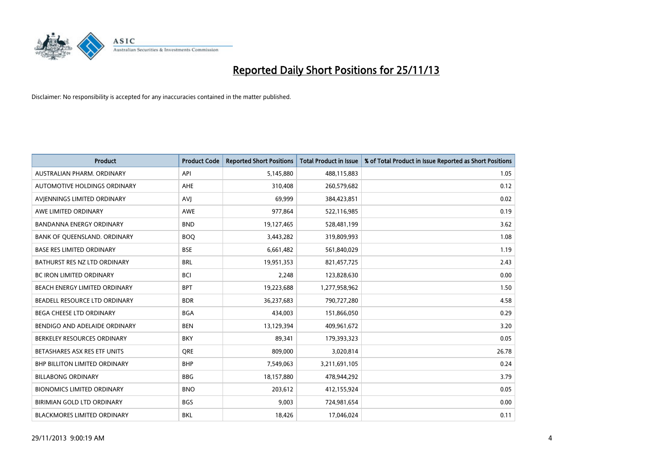

| <b>Product</b>                       | <b>Product Code</b> | <b>Reported Short Positions</b> | <b>Total Product in Issue</b> | % of Total Product in Issue Reported as Short Positions |
|--------------------------------------|---------------------|---------------------------------|-------------------------------|---------------------------------------------------------|
| AUSTRALIAN PHARM. ORDINARY           | API                 | 5,145,880                       | 488,115,883                   | 1.05                                                    |
| AUTOMOTIVE HOLDINGS ORDINARY         | <b>AHE</b>          | 310,408                         | 260,579,682                   | 0.12                                                    |
| AVIENNINGS LIMITED ORDINARY          | AVI                 | 69,999                          | 384,423,851                   | 0.02                                                    |
| AWE LIMITED ORDINARY                 | <b>AWE</b>          | 977,864                         | 522,116,985                   | 0.19                                                    |
| <b>BANDANNA ENERGY ORDINARY</b>      | <b>BND</b>          | 19,127,465                      | 528,481,199                   | 3.62                                                    |
| BANK OF QUEENSLAND. ORDINARY         | <b>BOO</b>          | 3,443,282                       | 319,809,993                   | 1.08                                                    |
| <b>BASE RES LIMITED ORDINARY</b>     | <b>BSE</b>          | 6,661,482                       | 561,840,029                   | 1.19                                                    |
| BATHURST RES NZ LTD ORDINARY         | <b>BRL</b>          | 19,951,353                      | 821,457,725                   | 2.43                                                    |
| BC IRON LIMITED ORDINARY             | <b>BCI</b>          | 2,248                           | 123,828,630                   | 0.00                                                    |
| BEACH ENERGY LIMITED ORDINARY        | <b>BPT</b>          | 19,223,688                      | 1,277,958,962                 | 1.50                                                    |
| BEADELL RESOURCE LTD ORDINARY        | <b>BDR</b>          | 36,237,683                      | 790,727,280                   | 4.58                                                    |
| <b>BEGA CHEESE LTD ORDINARY</b>      | <b>BGA</b>          | 434.003                         | 151,866,050                   | 0.29                                                    |
| BENDIGO AND ADELAIDE ORDINARY        | <b>BEN</b>          | 13,129,394                      | 409,961,672                   | 3.20                                                    |
| BERKELEY RESOURCES ORDINARY          | <b>BKY</b>          | 89,341                          | 179,393,323                   | 0.05                                                    |
| BETASHARES ASX RES ETF UNITS         | <b>ORE</b>          | 809,000                         | 3,020,814                     | 26.78                                                   |
| <b>BHP BILLITON LIMITED ORDINARY</b> | <b>BHP</b>          | 7,549,063                       | 3,211,691,105                 | 0.24                                                    |
| <b>BILLABONG ORDINARY</b>            | <b>BBG</b>          | 18,157,880                      | 478,944,292                   | 3.79                                                    |
| <b>BIONOMICS LIMITED ORDINARY</b>    | <b>BNO</b>          | 203,612                         | 412,155,924                   | 0.05                                                    |
| BIRIMIAN GOLD LTD ORDINARY           | <b>BGS</b>          | 9,003                           | 724,981,654                   | 0.00                                                    |
| <b>BLACKMORES LIMITED ORDINARY</b>   | <b>BKL</b>          | 18,426                          | 17,046,024                    | 0.11                                                    |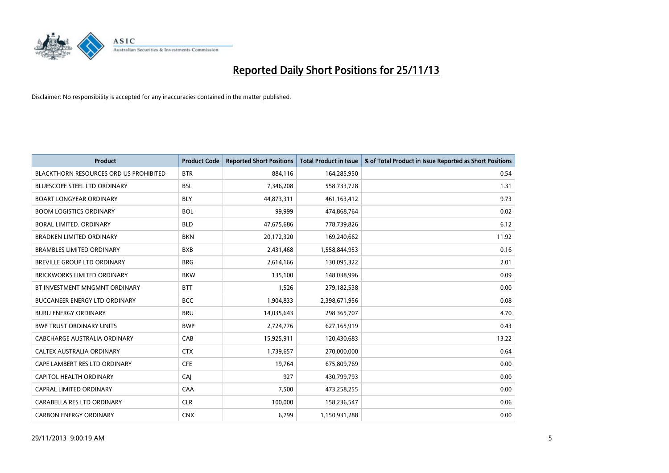

| <b>Product</b>                                | <b>Product Code</b> | <b>Reported Short Positions</b> | <b>Total Product in Issue</b> | % of Total Product in Issue Reported as Short Positions |
|-----------------------------------------------|---------------------|---------------------------------|-------------------------------|---------------------------------------------------------|
| <b>BLACKTHORN RESOURCES ORD US PROHIBITED</b> | <b>BTR</b>          | 884,116                         | 164,285,950                   | 0.54                                                    |
| BLUESCOPE STEEL LTD ORDINARY                  | BSL                 | 7,346,208                       | 558,733,728                   | 1.31                                                    |
| <b>BOART LONGYEAR ORDINARY</b>                | <b>BLY</b>          | 44,873,311                      | 461,163,412                   | 9.73                                                    |
| <b>BOOM LOGISTICS ORDINARY</b>                | <b>BOL</b>          | 99,999                          | 474,868,764                   | 0.02                                                    |
| BORAL LIMITED, ORDINARY                       | <b>BLD</b>          | 47,675,686                      | 778,739,826                   | 6.12                                                    |
| <b>BRADKEN LIMITED ORDINARY</b>               | <b>BKN</b>          | 20,172,320                      | 169,240,662                   | 11.92                                                   |
| <b>BRAMBLES LIMITED ORDINARY</b>              | <b>BXB</b>          | 2,431,468                       | 1,558,844,953                 | 0.16                                                    |
| BREVILLE GROUP LTD ORDINARY                   | <b>BRG</b>          | 2,614,166                       | 130,095,322                   | 2.01                                                    |
| <b>BRICKWORKS LIMITED ORDINARY</b>            | <b>BKW</b>          | 135,100                         | 148,038,996                   | 0.09                                                    |
| BT INVESTMENT MNGMNT ORDINARY                 | <b>BTT</b>          | 1,526                           | 279,182,538                   | 0.00                                                    |
| BUCCANEER ENERGY LTD ORDINARY                 | <b>BCC</b>          | 1,904,833                       | 2,398,671,956                 | 0.08                                                    |
| <b>BURU ENERGY ORDINARY</b>                   | <b>BRU</b>          | 14,035,643                      | 298,365,707                   | 4.70                                                    |
| <b>BWP TRUST ORDINARY UNITS</b>               | <b>BWP</b>          | 2,724,776                       | 627,165,919                   | 0.43                                                    |
| <b>CABCHARGE AUSTRALIA ORDINARY</b>           | CAB                 | 15,925,911                      | 120,430,683                   | 13.22                                                   |
| CALTEX AUSTRALIA ORDINARY                     | <b>CTX</b>          | 1,739,657                       | 270,000,000                   | 0.64                                                    |
| CAPE LAMBERT RES LTD ORDINARY                 | <b>CFE</b>          | 19,764                          | 675,809,769                   | 0.00                                                    |
| CAPITOL HEALTH ORDINARY                       | CAJ                 | 927                             | 430,799,793                   | 0.00                                                    |
| <b>CAPRAL LIMITED ORDINARY</b>                | CAA                 | 7,500                           | 473,258,255                   | 0.00                                                    |
| CARABELLA RES LTD ORDINARY                    | <b>CLR</b>          | 100,000                         | 158,236,547                   | 0.06                                                    |
| <b>CARBON ENERGY ORDINARY</b>                 | <b>CNX</b>          | 6,799                           | 1,150,931,288                 | 0.00                                                    |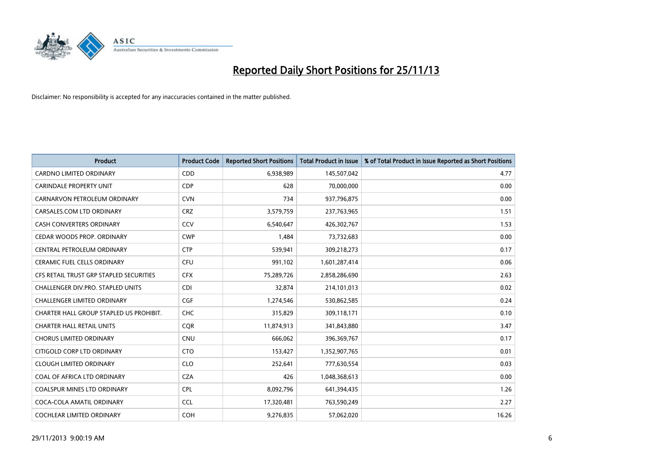

| <b>Product</b>                          | <b>Product Code</b> | <b>Reported Short Positions</b> | <b>Total Product in Issue</b> | % of Total Product in Issue Reported as Short Positions |
|-----------------------------------------|---------------------|---------------------------------|-------------------------------|---------------------------------------------------------|
| <b>CARDNO LIMITED ORDINARY</b>          | CDD                 | 6,938,989                       | 145,507,042                   | 4.77                                                    |
| <b>CARINDALE PROPERTY UNIT</b>          | <b>CDP</b>          | 628                             | 70,000,000                    | 0.00                                                    |
| CARNARVON PETROLEUM ORDINARY            | <b>CVN</b>          | 734                             | 937,796,875                   | 0.00                                                    |
| CARSALES.COM LTD ORDINARY               | <b>CRZ</b>          | 3,579,759                       | 237,763,965                   | 1.51                                                    |
| <b>CASH CONVERTERS ORDINARY</b>         | CCV                 | 6,540,647                       | 426,302,767                   | 1.53                                                    |
| CEDAR WOODS PROP. ORDINARY              | <b>CWP</b>          | 1,484                           | 73,732,683                    | 0.00                                                    |
| CENTRAL PETROLEUM ORDINARY              | <b>CTP</b>          | 539,941                         | 309,218,273                   | 0.17                                                    |
| <b>CERAMIC FUEL CELLS ORDINARY</b>      | <b>CFU</b>          | 991,102                         | 1,601,287,414                 | 0.06                                                    |
| CFS RETAIL TRUST GRP STAPLED SECURITIES | <b>CFX</b>          | 75,289,726                      | 2,858,286,690                 | 2.63                                                    |
| CHALLENGER DIV.PRO. STAPLED UNITS       | <b>CDI</b>          | 32,874                          | 214,101,013                   | 0.02                                                    |
| CHALLENGER LIMITED ORDINARY             | <b>CGF</b>          | 1,274,546                       | 530,862,585                   | 0.24                                                    |
| CHARTER HALL GROUP STAPLED US PROHIBIT. | <b>CHC</b>          | 315,829                         | 309,118,171                   | 0.10                                                    |
| <b>CHARTER HALL RETAIL UNITS</b>        | <b>CQR</b>          | 11,874,913                      | 341,843,880                   | 3.47                                                    |
| <b>CHORUS LIMITED ORDINARY</b>          | <b>CNU</b>          | 666,062                         | 396,369,767                   | 0.17                                                    |
| CITIGOLD CORP LTD ORDINARY              | <b>CTO</b>          | 153,427                         | 1,352,907,765                 | 0.01                                                    |
| <b>CLOUGH LIMITED ORDINARY</b>          | <b>CLO</b>          | 252,641                         | 777,630,554                   | 0.03                                                    |
| COAL OF AFRICA LTD ORDINARY             | <b>CZA</b>          | 426                             | 1,048,368,613                 | 0.00                                                    |
| COALSPUR MINES LTD ORDINARY             | <b>CPL</b>          | 8,092,796                       | 641,394,435                   | 1.26                                                    |
| COCA-COLA AMATIL ORDINARY               | <b>CCL</b>          | 17,320,481                      | 763,590,249                   | 2.27                                                    |
| <b>COCHLEAR LIMITED ORDINARY</b>        | <b>COH</b>          | 9,276,835                       | 57,062,020                    | 16.26                                                   |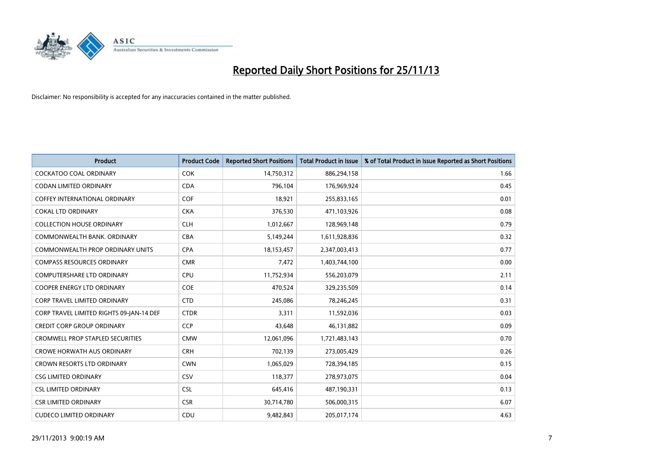

| <b>Product</b>                           | <b>Product Code</b> | <b>Reported Short Positions</b> | <b>Total Product in Issue</b> | % of Total Product in Issue Reported as Short Positions |
|------------------------------------------|---------------------|---------------------------------|-------------------------------|---------------------------------------------------------|
| <b>COCKATOO COAL ORDINARY</b>            | <b>COK</b>          | 14,750,312                      | 886,294,158                   | 1.66                                                    |
| CODAN LIMITED ORDINARY                   | <b>CDA</b>          | 796,104                         | 176,969,924                   | 0.45                                                    |
| <b>COFFEY INTERNATIONAL ORDINARY</b>     | <b>COF</b>          | 18,921                          | 255,833,165                   | 0.01                                                    |
| <b>COKAL LTD ORDINARY</b>                | <b>CKA</b>          | 376,530                         | 471,103,926                   | 0.08                                                    |
| <b>COLLECTION HOUSE ORDINARY</b>         | <b>CLH</b>          | 1,012,667                       | 128,969,148                   | 0.79                                                    |
| COMMONWEALTH BANK, ORDINARY              | <b>CBA</b>          | 5,149,244                       | 1,611,928,836                 | 0.32                                                    |
| <b>COMMONWEALTH PROP ORDINARY UNITS</b>  | <b>CPA</b>          | 18,153,457                      | 2,347,003,413                 | 0.77                                                    |
| <b>COMPASS RESOURCES ORDINARY</b>        | <b>CMR</b>          | 7,472                           | 1,403,744,100                 | 0.00                                                    |
| <b>COMPUTERSHARE LTD ORDINARY</b>        | <b>CPU</b>          | 11,752,934                      | 556,203,079                   | 2.11                                                    |
| <b>COOPER ENERGY LTD ORDINARY</b>        | <b>COE</b>          | 470,524                         | 329,235,509                   | 0.14                                                    |
| <b>CORP TRAVEL LIMITED ORDINARY</b>      | <b>CTD</b>          | 245,086                         | 78,246,245                    | 0.31                                                    |
| CORP TRAVEL LIMITED RIGHTS 09-JAN-14 DEF | <b>CTDR</b>         | 3,311                           | 11,592,036                    | 0.03                                                    |
| <b>CREDIT CORP GROUP ORDINARY</b>        | <b>CCP</b>          | 43,648                          | 46,131,882                    | 0.09                                                    |
| <b>CROMWELL PROP STAPLED SECURITIES</b>  | <b>CMW</b>          | 12,061,096                      | 1,721,483,143                 | 0.70                                                    |
| <b>CROWE HORWATH AUS ORDINARY</b>        | <b>CRH</b>          | 702,139                         | 273,005,429                   | 0.26                                                    |
| CROWN RESORTS LTD ORDINARY               | <b>CWN</b>          | 1,065,029                       | 728,394,185                   | 0.15                                                    |
| <b>CSG LIMITED ORDINARY</b>              | CSV                 | 118,377                         | 278,973,075                   | 0.04                                                    |
| <b>CSL LIMITED ORDINARY</b>              | <b>CSL</b>          | 645,416                         | 487,190,331                   | 0.13                                                    |
| <b>CSR LIMITED ORDINARY</b>              | <b>CSR</b>          | 30,714,780                      | 506,000,315                   | 6.07                                                    |
| <b>CUDECO LIMITED ORDINARY</b>           | CDU                 | 9,482,843                       | 205,017,174                   | 4.63                                                    |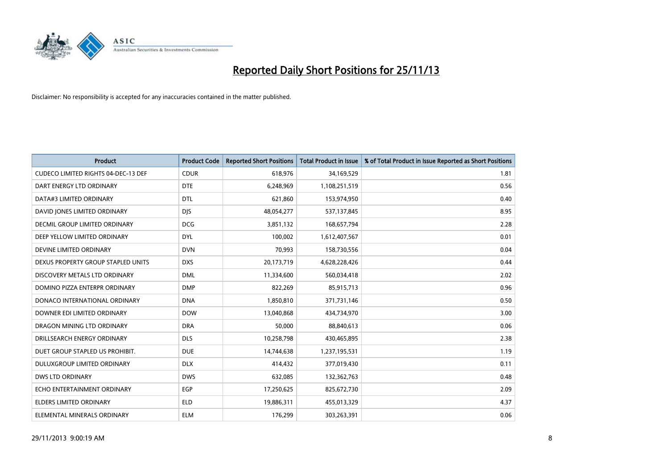

| <b>Product</b>                             | <b>Product Code</b> | <b>Reported Short Positions</b> | <b>Total Product in Issue</b> | % of Total Product in Issue Reported as Short Positions |
|--------------------------------------------|---------------------|---------------------------------|-------------------------------|---------------------------------------------------------|
| <b>CUDECO LIMITED RIGHTS 04-DEC-13 DEF</b> | <b>CDUR</b>         | 618,976                         | 34,169,529                    | 1.81                                                    |
| DART ENERGY LTD ORDINARY                   | <b>DTE</b>          | 6,248,969                       | 1,108,251,519                 | 0.56                                                    |
| DATA#3 LIMITED ORDINARY                    | <b>DTL</b>          | 621,860                         | 153,974,950                   | 0.40                                                    |
| DAVID JONES LIMITED ORDINARY               | <b>DJS</b>          | 48,054,277                      | 537,137,845                   | 8.95                                                    |
| DECMIL GROUP LIMITED ORDINARY              | <b>DCG</b>          | 3,851,132                       | 168,657,794                   | 2.28                                                    |
| DEEP YELLOW LIMITED ORDINARY               | <b>DYL</b>          | 100,002                         | 1,612,407,567                 | 0.01                                                    |
| DEVINE LIMITED ORDINARY                    | <b>DVN</b>          | 70,993                          | 158,730,556                   | 0.04                                                    |
| DEXUS PROPERTY GROUP STAPLED UNITS         | <b>DXS</b>          | 20,173,719                      | 4,628,228,426                 | 0.44                                                    |
| DISCOVERY METALS LTD ORDINARY              | <b>DML</b>          | 11,334,600                      | 560,034,418                   | 2.02                                                    |
| DOMINO PIZZA ENTERPR ORDINARY              | <b>DMP</b>          | 822,269                         | 85,915,713                    | 0.96                                                    |
| DONACO INTERNATIONAL ORDINARY              | <b>DNA</b>          | 1,850,810                       | 371,731,146                   | 0.50                                                    |
| DOWNER EDI LIMITED ORDINARY                | <b>DOW</b>          | 13,040,868                      | 434,734,970                   | 3.00                                                    |
| DRAGON MINING LTD ORDINARY                 | <b>DRA</b>          | 50,000                          | 88,840,613                    | 0.06                                                    |
| DRILLSEARCH ENERGY ORDINARY                | <b>DLS</b>          | 10,258,798                      | 430,465,895                   | 2.38                                                    |
| DUET GROUP STAPLED US PROHIBIT.            | <b>DUE</b>          | 14,744,638                      | 1,237,195,531                 | 1.19                                                    |
| DULUXGROUP LIMITED ORDINARY                | <b>DLX</b>          | 414,432                         | 377,019,430                   | 0.11                                                    |
| <b>DWS LTD ORDINARY</b>                    | <b>DWS</b>          | 632,085                         | 132,362,763                   | 0.48                                                    |
| ECHO ENTERTAINMENT ORDINARY                | <b>EGP</b>          | 17,250,625                      | 825,672,730                   | 2.09                                                    |
| <b>ELDERS LIMITED ORDINARY</b>             | <b>ELD</b>          | 19,886,311                      | 455,013,329                   | 4.37                                                    |
| ELEMENTAL MINERALS ORDINARY                | <b>ELM</b>          | 176,299                         | 303,263,391                   | 0.06                                                    |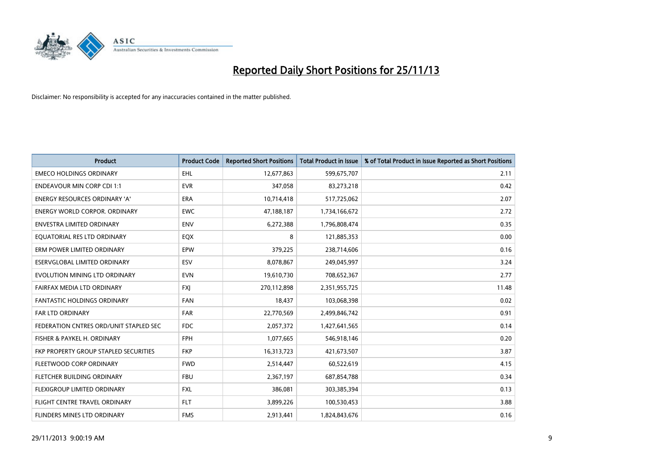

| <b>Product</b>                         | <b>Product Code</b> | <b>Reported Short Positions</b> | <b>Total Product in Issue</b> | % of Total Product in Issue Reported as Short Positions |
|----------------------------------------|---------------------|---------------------------------|-------------------------------|---------------------------------------------------------|
| <b>EMECO HOLDINGS ORDINARY</b>         | <b>EHL</b>          | 12,677,863                      | 599,675,707                   | 2.11                                                    |
| <b>ENDEAVOUR MIN CORP CDI 1:1</b>      | <b>EVR</b>          | 347,058                         | 83,273,218                    | 0.42                                                    |
| <b>ENERGY RESOURCES ORDINARY 'A'</b>   | <b>ERA</b>          | 10,714,418                      | 517,725,062                   | 2.07                                                    |
| ENERGY WORLD CORPOR. ORDINARY          | <b>EWC</b>          | 47,188,187                      | 1,734,166,672                 | 2.72                                                    |
| <b>ENVESTRA LIMITED ORDINARY</b>       | <b>ENV</b>          | 6,272,388                       | 1,796,808,474                 | 0.35                                                    |
| EQUATORIAL RES LTD ORDINARY            | EQX                 | 8                               | 121,885,353                   | 0.00                                                    |
| ERM POWER LIMITED ORDINARY             | <b>EPW</b>          | 379,225                         | 238,714,606                   | 0.16                                                    |
| ESERVGLOBAL LIMITED ORDINARY           | ESV                 | 8,078,867                       | 249,045,997                   | 3.24                                                    |
| EVOLUTION MINING LTD ORDINARY          | <b>EVN</b>          | 19,610,730                      | 708,652,367                   | 2.77                                                    |
| FAIRFAX MEDIA LTD ORDINARY             | <b>FXI</b>          | 270,112,898                     | 2,351,955,725                 | 11.48                                                   |
| FANTASTIC HOLDINGS ORDINARY            | <b>FAN</b>          | 18,437                          | 103,068,398                   | 0.02                                                    |
| <b>FAR LTD ORDINARY</b>                | <b>FAR</b>          | 22,770,569                      | 2,499,846,742                 | 0.91                                                    |
| FEDERATION CNTRES ORD/UNIT STAPLED SEC | <b>FDC</b>          | 2,057,372                       | 1,427,641,565                 | 0.14                                                    |
| FISHER & PAYKEL H. ORDINARY            | <b>FPH</b>          | 1,077,665                       | 546,918,146                   | 0.20                                                    |
| FKP PROPERTY GROUP STAPLED SECURITIES  | <b>FKP</b>          | 16,313,723                      | 421,673,507                   | 3.87                                                    |
| FLEETWOOD CORP ORDINARY                | <b>FWD</b>          | 2,514,447                       | 60,522,619                    | 4.15                                                    |
| FLETCHER BUILDING ORDINARY             | <b>FBU</b>          | 2,367,197                       | 687,854,788                   | 0.34                                                    |
| FLEXIGROUP LIMITED ORDINARY            | <b>FXL</b>          | 386,081                         | 303,385,394                   | 0.13                                                    |
| FLIGHT CENTRE TRAVEL ORDINARY          | <b>FLT</b>          | 3,899,226                       | 100,530,453                   | 3.88                                                    |
| FLINDERS MINES LTD ORDINARY            | <b>FMS</b>          | 2,913,441                       | 1,824,843,676                 | 0.16                                                    |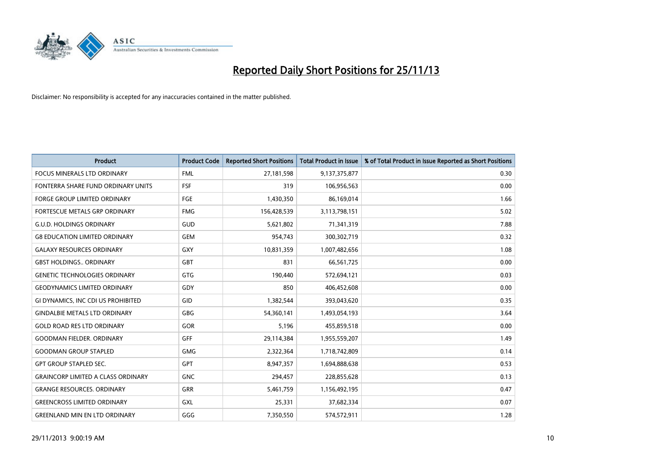

| <b>Product</b>                            | <b>Product Code</b> | <b>Reported Short Positions</b> | <b>Total Product in Issue</b> | % of Total Product in Issue Reported as Short Positions |
|-------------------------------------------|---------------------|---------------------------------|-------------------------------|---------------------------------------------------------|
| <b>FOCUS MINERALS LTD ORDINARY</b>        | <b>FML</b>          | 27,181,598                      | 9,137,375,877                 | 0.30                                                    |
| FONTERRA SHARE FUND ORDINARY UNITS        | <b>FSF</b>          | 319                             | 106,956,563                   | 0.00                                                    |
| <b>FORGE GROUP LIMITED ORDINARY</b>       | FGE                 | 1,430,350                       | 86,169,014                    | 1.66                                                    |
| FORTESCUE METALS GRP ORDINARY             | <b>FMG</b>          | 156,428,539                     | 3,113,798,151                 | 5.02                                                    |
| <b>G.U.D. HOLDINGS ORDINARY</b>           | GUD                 | 5,621,802                       | 71,341,319                    | 7.88                                                    |
| <b>G8 EDUCATION LIMITED ORDINARY</b>      | <b>GEM</b>          | 954,743                         | 300,302,719                   | 0.32                                                    |
| <b>GALAXY RESOURCES ORDINARY</b>          | <b>GXY</b>          | 10,831,359                      | 1,007,482,656                 | 1.08                                                    |
| <b>GBST HOLDINGS ORDINARY</b>             | GBT                 | 831                             | 66,561,725                    | 0.00                                                    |
| <b>GENETIC TECHNOLOGIES ORDINARY</b>      | GTG                 | 190,440                         | 572,694,121                   | 0.03                                                    |
| <b>GEODYNAMICS LIMITED ORDINARY</b>       | GDY                 | 850                             | 406,452,608                   | 0.00                                                    |
| GI DYNAMICS, INC CDI US PROHIBITED        | GID                 | 1,382,544                       | 393,043,620                   | 0.35                                                    |
| <b>GINDALBIE METALS LTD ORDINARY</b>      | <b>GBG</b>          | 54,360,141                      | 1,493,054,193                 | 3.64                                                    |
| <b>GOLD ROAD RES LTD ORDINARY</b>         | GOR                 | 5,196                           | 455,859,518                   | 0.00                                                    |
| <b>GOODMAN FIELDER, ORDINARY</b>          | <b>GFF</b>          | 29,114,384                      | 1,955,559,207                 | 1.49                                                    |
| <b>GOODMAN GROUP STAPLED</b>              | <b>GMG</b>          | 2,322,364                       | 1,718,742,809                 | 0.14                                                    |
| <b>GPT GROUP STAPLED SEC.</b>             | <b>GPT</b>          | 8,947,357                       | 1,694,888,638                 | 0.53                                                    |
| <b>GRAINCORP LIMITED A CLASS ORDINARY</b> | <b>GNC</b>          | 294,457                         | 228,855,628                   | 0.13                                                    |
| <b>GRANGE RESOURCES, ORDINARY</b>         | GRR                 | 5,461,759                       | 1,156,492,195                 | 0.47                                                    |
| <b>GREENCROSS LIMITED ORDINARY</b>        | GXL                 | 25,331                          | 37,682,334                    | 0.07                                                    |
| <b>GREENLAND MIN EN LTD ORDINARY</b>      | GGG                 | 7,350,550                       | 574,572,911                   | 1.28                                                    |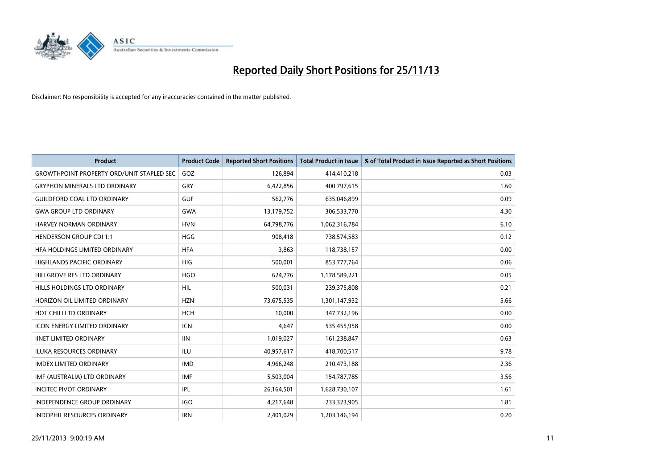

| <b>Product</b>                                   | <b>Product Code</b> | <b>Reported Short Positions</b> | <b>Total Product in Issue</b> | % of Total Product in Issue Reported as Short Positions |
|--------------------------------------------------|---------------------|---------------------------------|-------------------------------|---------------------------------------------------------|
| <b>GROWTHPOINT PROPERTY ORD/UNIT STAPLED SEC</b> | GOZ                 | 126,894                         | 414,410,218                   | 0.03                                                    |
| <b>GRYPHON MINERALS LTD ORDINARY</b>             | <b>GRY</b>          | 6,422,856                       | 400,797,615                   | 1.60                                                    |
| <b>GUILDFORD COAL LTD ORDINARY</b>               | <b>GUF</b>          | 562,776                         | 635,046,899                   | 0.09                                                    |
| <b>GWA GROUP LTD ORDINARY</b>                    | <b>GWA</b>          | 13,179,752                      | 306,533,770                   | 4.30                                                    |
| HARVEY NORMAN ORDINARY                           | <b>HVN</b>          | 64,798,776                      | 1,062,316,784                 | 6.10                                                    |
| <b>HENDERSON GROUP CDI 1:1</b>                   | <b>HGG</b>          | 908,418                         | 738,574,583                   | 0.12                                                    |
| HFA HOLDINGS LIMITED ORDINARY                    | <b>HFA</b>          | 3,863                           | 118,738,157                   | 0.00                                                    |
| HIGHLANDS PACIFIC ORDINARY                       | <b>HIG</b>          | 500,001                         | 853,777,764                   | 0.06                                                    |
| HILLGROVE RES LTD ORDINARY                       | <b>HGO</b>          | 624,776                         | 1,178,589,221                 | 0.05                                                    |
| HILLS HOLDINGS LTD ORDINARY                      | <b>HIL</b>          | 500,031                         | 239,375,808                   | 0.21                                                    |
| HORIZON OIL LIMITED ORDINARY                     | <b>HZN</b>          | 73,675,535                      | 1,301,147,932                 | 5.66                                                    |
| HOT CHILI LTD ORDINARY                           | HCH                 | 10,000                          | 347,732,196                   | 0.00                                                    |
| <b>ICON ENERGY LIMITED ORDINARY</b>              | <b>ICN</b>          | 4,647                           | 535,455,958                   | 0.00                                                    |
| <b>IINET LIMITED ORDINARY</b>                    | <b>IIN</b>          | 1,019,027                       | 161,238,847                   | 0.63                                                    |
| <b>ILUKA RESOURCES ORDINARY</b>                  | ILU                 | 40,957,617                      | 418,700,517                   | 9.78                                                    |
| <b>IMDEX LIMITED ORDINARY</b>                    | <b>IMD</b>          | 4,966,248                       | 210,473,188                   | 2.36                                                    |
| IMF (AUSTRALIA) LTD ORDINARY                     | <b>IMF</b>          | 5,503,004                       | 154,787,785                   | 3.56                                                    |
| <b>INCITEC PIVOT ORDINARY</b>                    | IPL                 | 26,164,501                      | 1,628,730,107                 | 1.61                                                    |
| <b>INDEPENDENCE GROUP ORDINARY</b>               | <b>IGO</b>          | 4,217,648                       | 233,323,905                   | 1.81                                                    |
| <b>INDOPHIL RESOURCES ORDINARY</b>               | <b>IRN</b>          | 2,401,029                       | 1,203,146,194                 | 0.20                                                    |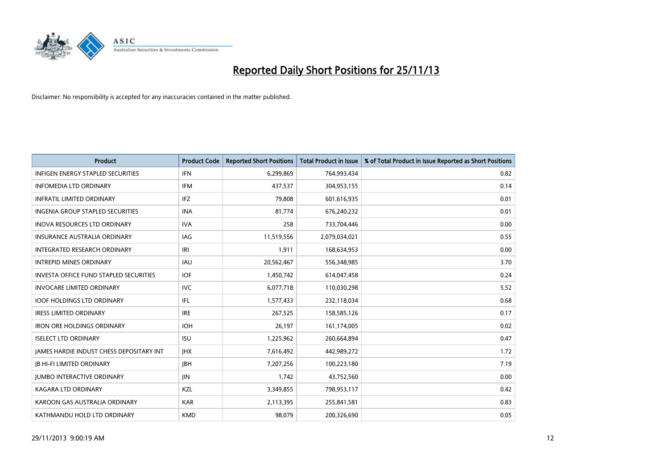

| <b>Product</b>                                | <b>Product Code</b> | <b>Reported Short Positions</b> | <b>Total Product in Issue</b> | % of Total Product in Issue Reported as Short Positions |
|-----------------------------------------------|---------------------|---------------------------------|-------------------------------|---------------------------------------------------------|
| <b>INFIGEN ENERGY STAPLED SECURITIES</b>      | <b>IFN</b>          | 6,299,869                       | 764,993,434                   | 0.82                                                    |
| <b>INFOMEDIA LTD ORDINARY</b>                 | <b>IFM</b>          | 437,537                         | 304,953,155                   | 0.14                                                    |
| <b>INFRATIL LIMITED ORDINARY</b>              | IFZ                 | 79,808                          | 601,616,935                   | 0.01                                                    |
| INGENIA GROUP STAPLED SECURITIES              | <b>INA</b>          | 81,774                          | 676,240,232                   | 0.01                                                    |
| <b>INOVA RESOURCES LTD ORDINARY</b>           | <b>IVA</b>          | 258                             | 733,704,446                   | 0.00                                                    |
| <b>INSURANCE AUSTRALIA ORDINARY</b>           | IAG                 | 11,519,556                      | 2,079,034,021                 | 0.55                                                    |
| INTEGRATED RESEARCH ORDINARY                  | IRI                 | 1,911                           | 168,634,953                   | 0.00                                                    |
| <b>INTREPID MINES ORDINARY</b>                | <b>IAU</b>          | 20,562,467                      | 556,348,985                   | 3.70                                                    |
| <b>INVESTA OFFICE FUND STAPLED SECURITIES</b> | <b>IOF</b>          | 1,450,742                       | 614,047,458                   | 0.24                                                    |
| <b>INVOCARE LIMITED ORDINARY</b>              | <b>IVC</b>          | 6,077,718                       | 110,030,298                   | 5.52                                                    |
| <b>IOOF HOLDINGS LTD ORDINARY</b>             | IFL                 | 1,577,433                       | 232,118,034                   | 0.68                                                    |
| <b>IRESS LIMITED ORDINARY</b>                 | <b>IRE</b>          | 267,525                         | 158,585,126                   | 0.17                                                    |
| <b>IRON ORE HOLDINGS ORDINARY</b>             | <b>IOH</b>          | 26,197                          | 161,174,005                   | 0.02                                                    |
| <b>ISELECT LTD ORDINARY</b>                   | <b>ISU</b>          | 1,225,962                       | 260,664,894                   | 0.47                                                    |
| JAMES HARDIE INDUST CHESS DEPOSITARY INT      | <b>IHX</b>          | 7,616,492                       | 442,989,272                   | 1.72                                                    |
| <b>JB HI-FI LIMITED ORDINARY</b>              | <b>JBH</b>          | 7,207,256                       | 100,223,180                   | 7.19                                                    |
| <b>JUMBO INTERACTIVE ORDINARY</b>             | JIN                 | 1,742                           | 43,752,560                    | 0.00                                                    |
| <b>KAGARA LTD ORDINARY</b>                    | KZL                 | 3,349,855                       | 798,953,117                   | 0.42                                                    |
| KAROON GAS AUSTRALIA ORDINARY                 | <b>KAR</b>          | 2,113,395                       | 255,841,581                   | 0.83                                                    |
| KATHMANDU HOLD LTD ORDINARY                   | <b>KMD</b>          | 98,079                          | 200,326,690                   | 0.05                                                    |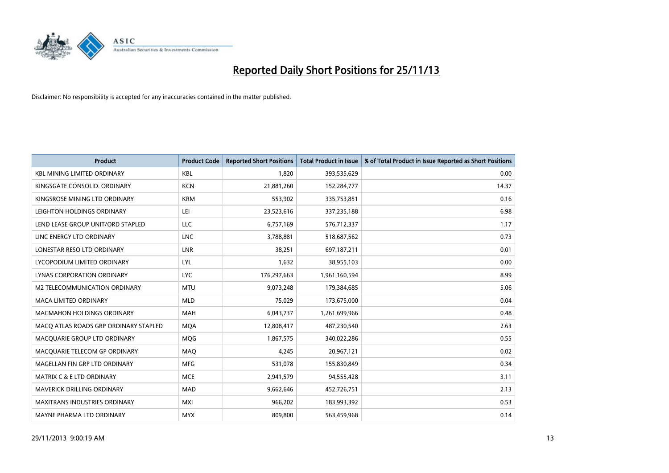

| <b>Product</b>                        | <b>Product Code</b> | <b>Reported Short Positions</b> | <b>Total Product in Issue</b> | % of Total Product in Issue Reported as Short Positions |
|---------------------------------------|---------------------|---------------------------------|-------------------------------|---------------------------------------------------------|
| <b>KBL MINING LIMITED ORDINARY</b>    | <b>KBL</b>          | 1,820                           | 393,535,629                   | 0.00                                                    |
| KINGSGATE CONSOLID. ORDINARY          | <b>KCN</b>          | 21,881,260                      | 152,284,777                   | 14.37                                                   |
| KINGSROSE MINING LTD ORDINARY         | <b>KRM</b>          | 553,902                         | 335,753,851                   | 0.16                                                    |
| LEIGHTON HOLDINGS ORDINARY            | LEI                 | 23,523,616                      | 337,235,188                   | 6.98                                                    |
| LEND LEASE GROUP UNIT/ORD STAPLED     | LLC                 | 6,757,169                       | 576,712,337                   | 1.17                                                    |
| LINC ENERGY LTD ORDINARY              | <b>LNC</b>          | 3,788,881                       | 518,687,562                   | 0.73                                                    |
| LONESTAR RESO LTD ORDINARY            | <b>LNR</b>          | 38,251                          | 697,187,211                   | 0.01                                                    |
| LYCOPODIUM LIMITED ORDINARY           | <b>LYL</b>          | 1,632                           | 38,955,103                    | 0.00                                                    |
| LYNAS CORPORATION ORDINARY            | <b>LYC</b>          | 176,297,663                     | 1,961,160,594                 | 8.99                                                    |
| <b>M2 TELECOMMUNICATION ORDINARY</b>  | <b>MTU</b>          | 9,073,248                       | 179,384,685                   | 5.06                                                    |
| MACA LIMITED ORDINARY                 | <b>MLD</b>          | 75,029                          | 173,675,000                   | 0.04                                                    |
| <b>MACMAHON HOLDINGS ORDINARY</b>     | MAH                 | 6,043,737                       | 1,261,699,966                 | 0.48                                                    |
| MACO ATLAS ROADS GRP ORDINARY STAPLED | <b>MOA</b>          | 12,808,417                      | 487,230,540                   | 2.63                                                    |
| MACQUARIE GROUP LTD ORDINARY          | <b>MOG</b>          | 1,867,575                       | 340,022,286                   | 0.55                                                    |
| MACQUARIE TELECOM GP ORDINARY         | MAQ                 | 4,245                           | 20,967,121                    | 0.02                                                    |
| MAGELLAN FIN GRP LTD ORDINARY         | <b>MFG</b>          | 531,078                         | 155,830,849                   | 0.34                                                    |
| <b>MATRIX C &amp; E LTD ORDINARY</b>  | <b>MCE</b>          | 2,941,579                       | 94,555,428                    | 3.11                                                    |
| <b>MAVERICK DRILLING ORDINARY</b>     | <b>MAD</b>          | 9,662,646                       | 452,726,751                   | 2.13                                                    |
| <b>MAXITRANS INDUSTRIES ORDINARY</b>  | <b>MXI</b>          | 966,202                         | 183,993,392                   | 0.53                                                    |
| MAYNE PHARMA LTD ORDINARY             | <b>MYX</b>          | 809,800                         | 563,459,968                   | 0.14                                                    |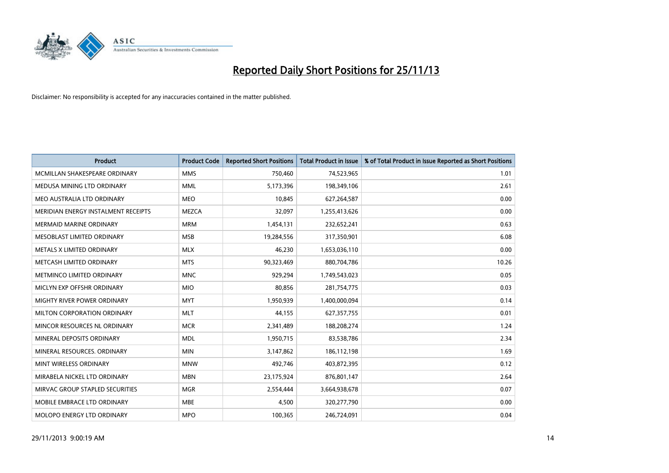

| <b>Product</b>                      | <b>Product Code</b> | <b>Reported Short Positions</b> | <b>Total Product in Issue</b> | % of Total Product in Issue Reported as Short Positions |
|-------------------------------------|---------------------|---------------------------------|-------------------------------|---------------------------------------------------------|
| MCMILLAN SHAKESPEARE ORDINARY       | <b>MMS</b>          | 750,460                         | 74,523,965                    | 1.01                                                    |
| MEDUSA MINING LTD ORDINARY          | <b>MML</b>          | 5,173,396                       | 198,349,106                   | 2.61                                                    |
| MEO AUSTRALIA LTD ORDINARY          | <b>MEO</b>          | 10,845                          | 627,264,587                   | 0.00                                                    |
| MERIDIAN ENERGY INSTALMENT RECEIPTS | <b>MEZCA</b>        | 32,097                          | 1,255,413,626                 | 0.00                                                    |
| <b>MERMAID MARINE ORDINARY</b>      | <b>MRM</b>          | 1,454,131                       | 232,652,241                   | 0.63                                                    |
| MESOBLAST LIMITED ORDINARY          | <b>MSB</b>          | 19,284,556                      | 317,350,901                   | 6.08                                                    |
| METALS X LIMITED ORDINARY           | <b>MLX</b>          | 46,230                          | 1,653,036,110                 | 0.00                                                    |
| METCASH LIMITED ORDINARY            | <b>MTS</b>          | 90,323,469                      | 880,704,786                   | 10.26                                                   |
| METMINCO LIMITED ORDINARY           | <b>MNC</b>          | 929,294                         | 1,749,543,023                 | 0.05                                                    |
| MICLYN EXP OFFSHR ORDINARY          | <b>MIO</b>          | 80,856                          | 281,754,775                   | 0.03                                                    |
| MIGHTY RIVER POWER ORDINARY         | <b>MYT</b>          | 1,950,939                       | 1,400,000,094                 | 0.14                                                    |
| MILTON CORPORATION ORDINARY         | <b>MLT</b>          | 44,155                          | 627,357,755                   | 0.01                                                    |
| MINCOR RESOURCES NL ORDINARY        | <b>MCR</b>          | 2,341,489                       | 188,208,274                   | 1.24                                                    |
| MINERAL DEPOSITS ORDINARY           | <b>MDL</b>          | 1,950,715                       | 83,538,786                    | 2.34                                                    |
| MINERAL RESOURCES, ORDINARY         | <b>MIN</b>          | 3,147,862                       | 186,112,198                   | 1.69                                                    |
| MINT WIRELESS ORDINARY              | <b>MNW</b>          | 492,746                         | 403,872,395                   | 0.12                                                    |
| MIRABELA NICKEL LTD ORDINARY        | <b>MBN</b>          | 23,175,924                      | 876,801,147                   | 2.64                                                    |
| MIRVAC GROUP STAPLED SECURITIES     | <b>MGR</b>          | 2,554,444                       | 3,664,938,678                 | 0.07                                                    |
| MOBILE EMBRACE LTD ORDINARY         | <b>MBE</b>          | 4,500                           | 320,277,790                   | 0.00                                                    |
| MOLOPO ENERGY LTD ORDINARY          | <b>MPO</b>          | 100,365                         | 246,724,091                   | 0.04                                                    |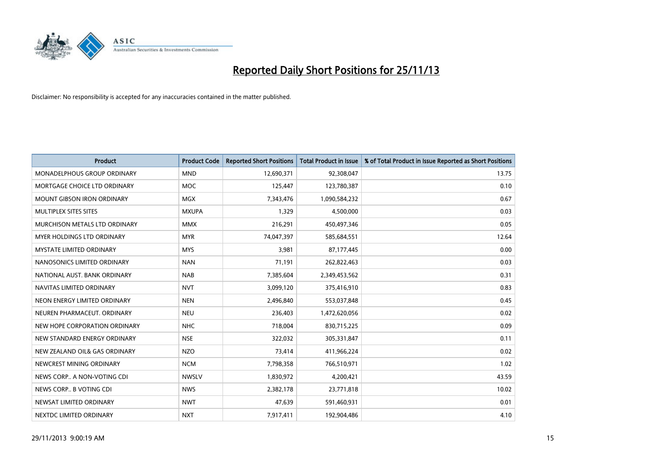

| <b>Product</b>                    | <b>Product Code</b> | <b>Reported Short Positions</b> | <b>Total Product in Issue</b> | % of Total Product in Issue Reported as Short Positions |
|-----------------------------------|---------------------|---------------------------------|-------------------------------|---------------------------------------------------------|
| MONADELPHOUS GROUP ORDINARY       | <b>MND</b>          | 12,690,371                      | 92,308,047                    | 13.75                                                   |
| MORTGAGE CHOICE LTD ORDINARY      | <b>MOC</b>          | 125,447                         | 123,780,387                   | 0.10                                                    |
| <b>MOUNT GIBSON IRON ORDINARY</b> | <b>MGX</b>          | 7,343,476                       | 1,090,584,232                 | 0.67                                                    |
| MULTIPLEX SITES SITES             | <b>MXUPA</b>        | 1,329                           | 4,500,000                     | 0.03                                                    |
| MURCHISON METALS LTD ORDINARY     | <b>MMX</b>          | 216,291                         | 450,497,346                   | 0.05                                                    |
| <b>MYER HOLDINGS LTD ORDINARY</b> | <b>MYR</b>          | 74,047,397                      | 585,684,551                   | 12.64                                                   |
| <b>MYSTATE LIMITED ORDINARY</b>   | <b>MYS</b>          | 3,981                           | 87,177,445                    | 0.00                                                    |
| NANOSONICS LIMITED ORDINARY       | <b>NAN</b>          | 71,191                          | 262,822,463                   | 0.03                                                    |
| NATIONAL AUST, BANK ORDINARY      | <b>NAB</b>          | 7,385,604                       | 2,349,453,562                 | 0.31                                                    |
| NAVITAS LIMITED ORDINARY          | <b>NVT</b>          | 3,099,120                       | 375,416,910                   | 0.83                                                    |
| NEON ENERGY LIMITED ORDINARY      | <b>NEN</b>          | 2,496,840                       | 553,037,848                   | 0.45                                                    |
| NEUREN PHARMACEUT, ORDINARY       | <b>NEU</b>          | 236,403                         | 1,472,620,056                 | 0.02                                                    |
| NEW HOPE CORPORATION ORDINARY     | <b>NHC</b>          | 718,004                         | 830,715,225                   | 0.09                                                    |
| NEW STANDARD ENERGY ORDINARY      | <b>NSE</b>          | 322,032                         | 305,331,847                   | 0.11                                                    |
| NEW ZEALAND OIL& GAS ORDINARY     | <b>NZO</b>          | 73,414                          | 411,966,224                   | 0.02                                                    |
| NEWCREST MINING ORDINARY          | <b>NCM</b>          | 7,798,358                       | 766,510,971                   | 1.02                                                    |
| NEWS CORP A NON-VOTING CDI        | <b>NWSLV</b>        | 1,830,972                       | 4,200,421                     | 43.59                                                   |
| NEWS CORP B VOTING CDI            | <b>NWS</b>          | 2,382,178                       | 23,771,818                    | 10.02                                                   |
| NEWSAT LIMITED ORDINARY           | <b>NWT</b>          | 47,639                          | 591,460,931                   | 0.01                                                    |
| NEXTDC LIMITED ORDINARY           | <b>NXT</b>          | 7,917,411                       | 192,904,486                   | 4.10                                                    |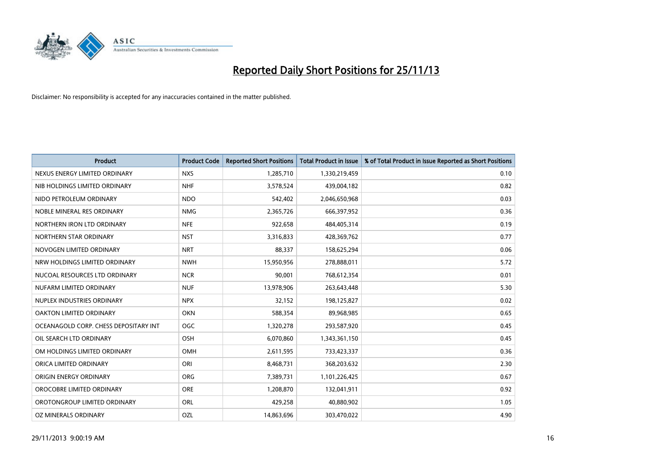

| <b>Product</b>                        | <b>Product Code</b> | <b>Reported Short Positions</b> | <b>Total Product in Issue</b> | % of Total Product in Issue Reported as Short Positions |
|---------------------------------------|---------------------|---------------------------------|-------------------------------|---------------------------------------------------------|
| NEXUS ENERGY LIMITED ORDINARY         | <b>NXS</b>          | 1,285,710                       | 1,330,219,459                 | 0.10                                                    |
| NIB HOLDINGS LIMITED ORDINARY         | <b>NHF</b>          | 3,578,524                       | 439,004,182                   | 0.82                                                    |
| NIDO PETROLEUM ORDINARY               | <b>NDO</b>          | 542,402                         | 2,046,650,968                 | 0.03                                                    |
| NOBLE MINERAL RES ORDINARY            | <b>NMG</b>          | 2,365,726                       | 666,397,952                   | 0.36                                                    |
| NORTHERN IRON LTD ORDINARY            | <b>NFE</b>          | 922,658                         | 484,405,314                   | 0.19                                                    |
| NORTHERN STAR ORDINARY                | <b>NST</b>          | 3,316,833                       | 428,369,762                   | 0.77                                                    |
| NOVOGEN LIMITED ORDINARY              | <b>NRT</b>          | 88,337                          | 158,625,294                   | 0.06                                                    |
| NRW HOLDINGS LIMITED ORDINARY         | <b>NWH</b>          | 15,950,956                      | 278,888,011                   | 5.72                                                    |
| NUCOAL RESOURCES LTD ORDINARY         | <b>NCR</b>          | 90,001                          | 768,612,354                   | 0.01                                                    |
| NUFARM LIMITED ORDINARY               | <b>NUF</b>          | 13,978,906                      | 263,643,448                   | 5.30                                                    |
| NUPLEX INDUSTRIES ORDINARY            | <b>NPX</b>          | 32,152                          | 198,125,827                   | 0.02                                                    |
| <b>OAKTON LIMITED ORDINARY</b>        | <b>OKN</b>          | 588,354                         | 89,968,985                    | 0.65                                                    |
| OCEANAGOLD CORP. CHESS DEPOSITARY INT | OGC                 | 1,320,278                       | 293,587,920                   | 0.45                                                    |
| OIL SEARCH LTD ORDINARY               | OSH                 | 6,070,860                       | 1,343,361,150                 | 0.45                                                    |
| OM HOLDINGS LIMITED ORDINARY          | OMH                 | 2,611,595                       | 733,423,337                   | 0.36                                                    |
| ORICA LIMITED ORDINARY                | ORI                 | 8,468,731                       | 368,203,632                   | 2.30                                                    |
| ORIGIN ENERGY ORDINARY                | ORG                 | 7,389,731                       | 1,101,226,425                 | 0.67                                                    |
| OROCOBRE LIMITED ORDINARY             | <b>ORE</b>          | 1,208,870                       | 132,041,911                   | 0.92                                                    |
| OROTONGROUP LIMITED ORDINARY          | <b>ORL</b>          | 429,258                         | 40,880,902                    | 1.05                                                    |
| OZ MINERALS ORDINARY                  | OZL                 | 14,863,696                      | 303,470,022                   | 4.90                                                    |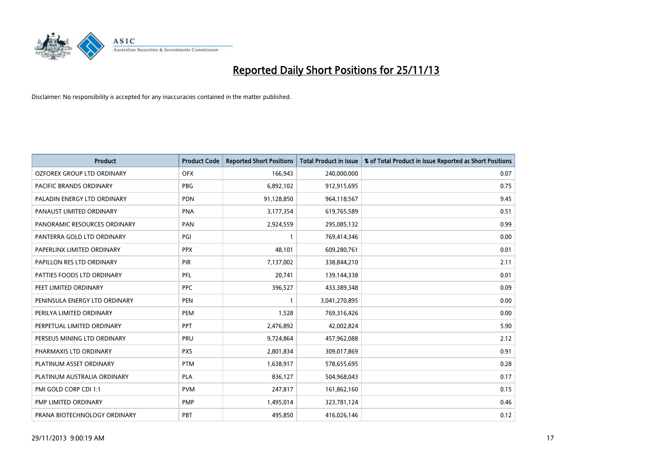

| <b>Product</b>                | <b>Product Code</b> | <b>Reported Short Positions</b> | <b>Total Product in Issue</b> | % of Total Product in Issue Reported as Short Positions |
|-------------------------------|---------------------|---------------------------------|-------------------------------|---------------------------------------------------------|
| OZFOREX GROUP LTD ORDINARY    | <b>OFX</b>          | 166,943                         | 240,000,000                   | 0.07                                                    |
| PACIFIC BRANDS ORDINARY       | <b>PBG</b>          | 6,892,102                       | 912,915,695                   | 0.75                                                    |
| PALADIN ENERGY LTD ORDINARY   | <b>PDN</b>          | 91,128,850                      | 964,118,567                   | 9.45                                                    |
| PANAUST LIMITED ORDINARY      | <b>PNA</b>          | 3,177,354                       | 619,765,589                   | 0.51                                                    |
| PANORAMIC RESOURCES ORDINARY  | PAN                 | 2,924,559                       | 295,085,132                   | 0.99                                                    |
| PANTERRA GOLD LTD ORDINARY    | PGI                 | $\mathbf{1}$                    | 769,414,346                   | 0.00                                                    |
| PAPERLINX LIMITED ORDINARY    | <b>PPX</b>          | 48,101                          | 609,280,761                   | 0.01                                                    |
| PAPILLON RES LTD ORDINARY     | PIR                 | 7,137,002                       | 338,844,210                   | 2.11                                                    |
| PATTIES FOODS LTD ORDINARY    | PFL                 | 20,741                          | 139,144,338                   | 0.01                                                    |
| PEET LIMITED ORDINARY         | <b>PPC</b>          | 396,527                         | 433,389,348                   | 0.09                                                    |
| PENINSULA ENERGY LTD ORDINARY | <b>PEN</b>          |                                 | 3,041,270,895                 | 0.00                                                    |
| PERILYA LIMITED ORDINARY      | PEM                 | 1,528                           | 769,316,426                   | 0.00                                                    |
| PERPETUAL LIMITED ORDINARY    | PPT                 | 2,476,892                       | 42,002,824                    | 5.90                                                    |
| PERSEUS MINING LTD ORDINARY   | PRU                 | 9,724,864                       | 457,962,088                   | 2.12                                                    |
| PHARMAXIS LTD ORDINARY        | <b>PXS</b>          | 2,801,834                       | 309,017,869                   | 0.91                                                    |
| PLATINUM ASSET ORDINARY       | <b>PTM</b>          | 1,638,917                       | 578,655,695                   | 0.28                                                    |
| PLATINUM AUSTRALIA ORDINARY   | <b>PLA</b>          | 836,127                         | 504,968,043                   | 0.17                                                    |
| PMI GOLD CORP CDI 1:1         | <b>PVM</b>          | 247,817                         | 161,862,160                   | 0.15                                                    |
| PMP LIMITED ORDINARY          | <b>PMP</b>          | 1,495,014                       | 323,781,124                   | 0.46                                                    |
| PRANA BIOTECHNOLOGY ORDINARY  | <b>PBT</b>          | 495,850                         | 416,026,146                   | 0.12                                                    |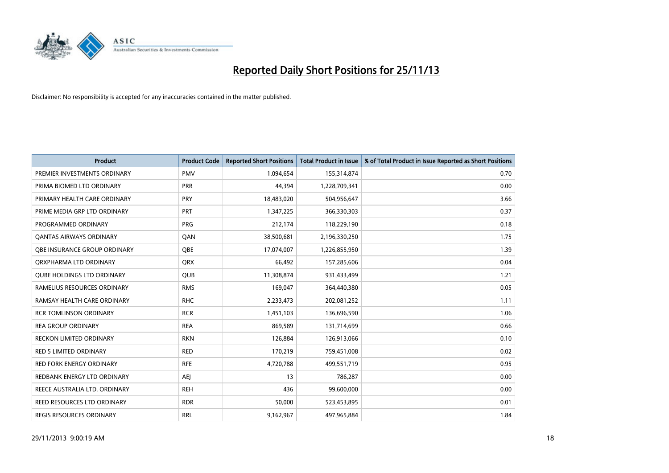

| <b>Product</b>                     | <b>Product Code</b> | <b>Reported Short Positions</b> | <b>Total Product in Issue</b> | % of Total Product in Issue Reported as Short Positions |
|------------------------------------|---------------------|---------------------------------|-------------------------------|---------------------------------------------------------|
| PREMIER INVESTMENTS ORDINARY       | <b>PMV</b>          | 1,094,654                       | 155,314,874                   | 0.70                                                    |
| PRIMA BIOMED LTD ORDINARY          | <b>PRR</b>          | 44,394                          | 1,228,709,341                 | 0.00                                                    |
| PRIMARY HEALTH CARE ORDINARY       | <b>PRY</b>          | 18,483,020                      | 504,956,647                   | 3.66                                                    |
| PRIME MEDIA GRP LTD ORDINARY       | <b>PRT</b>          | 1,347,225                       | 366,330,303                   | 0.37                                                    |
| PROGRAMMED ORDINARY                | <b>PRG</b>          | 212,174                         | 118,229,190                   | 0.18                                                    |
| <b>QANTAS AIRWAYS ORDINARY</b>     | QAN                 | 38,500,681                      | 2,196,330,250                 | 1.75                                                    |
| OBE INSURANCE GROUP ORDINARY       | <b>OBE</b>          | 17,074,007                      | 1,226,855,950                 | 1.39                                                    |
| ORXPHARMA LTD ORDINARY             | <b>QRX</b>          | 66,492                          | 157,285,606                   | 0.04                                                    |
| <b>QUBE HOLDINGS LTD ORDINARY</b>  | <b>QUB</b>          | 11,308,874                      | 931,433,499                   | 1.21                                                    |
| RAMELIUS RESOURCES ORDINARY        | <b>RMS</b>          | 169,047                         | 364,440,380                   | 0.05                                                    |
| RAMSAY HEALTH CARE ORDINARY        | <b>RHC</b>          | 2,233,473                       | 202,081,252                   | 1.11                                                    |
| <b>RCR TOMLINSON ORDINARY</b>      | <b>RCR</b>          | 1,451,103                       | 136,696,590                   | 1.06                                                    |
| <b>REA GROUP ORDINARY</b>          | <b>REA</b>          | 869,589                         | 131,714,699                   | 0.66                                                    |
| <b>RECKON LIMITED ORDINARY</b>     | <b>RKN</b>          | 126,884                         | 126,913,066                   | 0.10                                                    |
| <b>RED 5 LIMITED ORDINARY</b>      | <b>RED</b>          | 170,219                         | 759,451,008                   | 0.02                                                    |
| RED FORK ENERGY ORDINARY           | <b>RFE</b>          | 4,720,788                       | 499,551,719                   | 0.95                                                    |
| REDBANK ENERGY LTD ORDINARY        | AEJ                 | 13                              | 786,287                       | 0.00                                                    |
| REECE AUSTRALIA LTD. ORDINARY      | <b>REH</b>          | 436                             | 99,600,000                    | 0.00                                                    |
| <b>REED RESOURCES LTD ORDINARY</b> | <b>RDR</b>          | 50,000                          | 523,453,895                   | 0.01                                                    |
| REGIS RESOURCES ORDINARY           | <b>RRL</b>          | 9,162,967                       | 497,965,884                   | 1.84                                                    |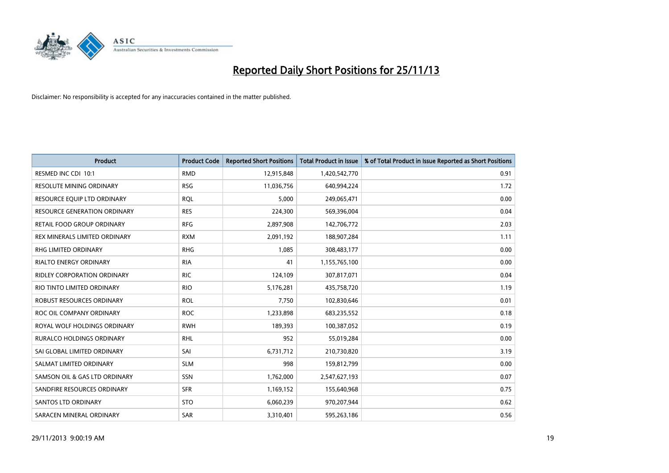

| <b>Product</b>                      | <b>Product Code</b> | <b>Reported Short Positions</b> | <b>Total Product in Issue</b> | % of Total Product in Issue Reported as Short Positions |
|-------------------------------------|---------------------|---------------------------------|-------------------------------|---------------------------------------------------------|
| RESMED INC CDI 10:1                 | <b>RMD</b>          | 12,915,848                      | 1,420,542,770                 | 0.91                                                    |
| <b>RESOLUTE MINING ORDINARY</b>     | <b>RSG</b>          | 11,036,756                      | 640,994,224                   | 1.72                                                    |
| RESOURCE EQUIP LTD ORDINARY         | <b>ROL</b>          | 5,000                           | 249,065,471                   | 0.00                                                    |
| <b>RESOURCE GENERATION ORDINARY</b> | <b>RES</b>          | 224,300                         | 569,396,004                   | 0.04                                                    |
| RETAIL FOOD GROUP ORDINARY          | <b>RFG</b>          | 2,897,908                       | 142,706,772                   | 2.03                                                    |
| REX MINERALS LIMITED ORDINARY       | <b>RXM</b>          | 2,091,192                       | 188,907,284                   | 1.11                                                    |
| RHG LIMITED ORDINARY                | <b>RHG</b>          | 1,085                           | 308,483,177                   | 0.00                                                    |
| <b>RIALTO ENERGY ORDINARY</b>       | <b>RIA</b>          | 41                              | 1,155,765,100                 | 0.00                                                    |
| RIDLEY CORPORATION ORDINARY         | <b>RIC</b>          | 124,109                         | 307,817,071                   | 0.04                                                    |
| RIO TINTO LIMITED ORDINARY          | <b>RIO</b>          | 5,176,281                       | 435,758,720                   | 1.19                                                    |
| ROBUST RESOURCES ORDINARY           | <b>ROL</b>          | 7,750                           | 102,830,646                   | 0.01                                                    |
| ROC OIL COMPANY ORDINARY            | <b>ROC</b>          | 1,233,898                       | 683,235,552                   | 0.18                                                    |
| ROYAL WOLF HOLDINGS ORDINARY        | <b>RWH</b>          | 189,393                         | 100,387,052                   | 0.19                                                    |
| <b>RURALCO HOLDINGS ORDINARY</b>    | <b>RHL</b>          | 952                             | 55,019,284                    | 0.00                                                    |
| SAI GLOBAL LIMITED ORDINARY         | SAI                 | 6,731,712                       | 210,730,820                   | 3.19                                                    |
| SALMAT LIMITED ORDINARY             | <b>SLM</b>          | 998                             | 159,812,799                   | 0.00                                                    |
| SAMSON OIL & GAS LTD ORDINARY       | SSN                 | 1,762,000                       | 2,547,627,193                 | 0.07                                                    |
| SANDFIRE RESOURCES ORDINARY         | <b>SFR</b>          | 1,169,152                       | 155,640,968                   | 0.75                                                    |
| <b>SANTOS LTD ORDINARY</b>          | <b>STO</b>          | 6,060,239                       | 970,207,944                   | 0.62                                                    |
| SARACEN MINERAL ORDINARY            | SAR                 | 3,310,401                       | 595,263,186                   | 0.56                                                    |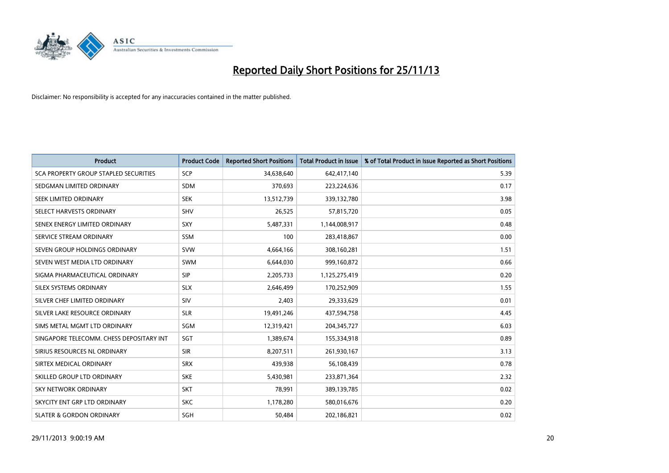

| <b>Product</b>                           | <b>Product Code</b> | <b>Reported Short Positions</b> | <b>Total Product in Issue</b> | % of Total Product in Issue Reported as Short Positions |
|------------------------------------------|---------------------|---------------------------------|-------------------------------|---------------------------------------------------------|
| SCA PROPERTY GROUP STAPLED SECURITIES    | <b>SCP</b>          | 34,638,640                      | 642,417,140                   | 5.39                                                    |
| SEDGMAN LIMITED ORDINARY                 | <b>SDM</b>          | 370,693                         | 223,224,636                   | 0.17                                                    |
| SEEK LIMITED ORDINARY                    | <b>SEK</b>          | 13,512,739                      | 339,132,780                   | 3.98                                                    |
| SELECT HARVESTS ORDINARY                 | <b>SHV</b>          | 26,525                          | 57,815,720                    | 0.05                                                    |
| SENEX ENERGY LIMITED ORDINARY            | <b>SXY</b>          | 5,487,331                       | 1,144,008,917                 | 0.48                                                    |
| SERVICE STREAM ORDINARY                  | SSM                 | 100                             | 283,418,867                   | 0.00                                                    |
| SEVEN GROUP HOLDINGS ORDINARY            | <b>SVW</b>          | 4,664,166                       | 308,160,281                   | 1.51                                                    |
| SEVEN WEST MEDIA LTD ORDINARY            | <b>SWM</b>          | 6,644,030                       | 999,160,872                   | 0.66                                                    |
| SIGMA PHARMACEUTICAL ORDINARY            | <b>SIP</b>          | 2,205,733                       | 1,125,275,419                 | 0.20                                                    |
| SILEX SYSTEMS ORDINARY                   | <b>SLX</b>          | 2,646,499                       | 170,252,909                   | 1.55                                                    |
| SILVER CHEF LIMITED ORDINARY             | <b>SIV</b>          | 2,403                           | 29,333,629                    | 0.01                                                    |
| SILVER LAKE RESOURCE ORDINARY            | <b>SLR</b>          | 19,491,246                      | 437,594,758                   | 4.45                                                    |
| SIMS METAL MGMT LTD ORDINARY             | SGM                 | 12,319,421                      | 204,345,727                   | 6.03                                                    |
| SINGAPORE TELECOMM. CHESS DEPOSITARY INT | SGT                 | 1,389,674                       | 155,334,918                   | 0.89                                                    |
| SIRIUS RESOURCES NL ORDINARY             | <b>SIR</b>          | 8,207,511                       | 261,930,167                   | 3.13                                                    |
| SIRTEX MEDICAL ORDINARY                  | <b>SRX</b>          | 439,938                         | 56,108,439                    | 0.78                                                    |
| SKILLED GROUP LTD ORDINARY               | <b>SKE</b>          | 5,430,981                       | 233,871,364                   | 2.32                                                    |
| <b>SKY NETWORK ORDINARY</b>              | <b>SKT</b>          | 78,991                          | 389,139,785                   | 0.02                                                    |
| SKYCITY ENT GRP LTD ORDINARY             | <b>SKC</b>          | 1,178,280                       | 580,016,676                   | 0.20                                                    |
| <b>SLATER &amp; GORDON ORDINARY</b>      | SGH                 | 50,484                          | 202,186,821                   | 0.02                                                    |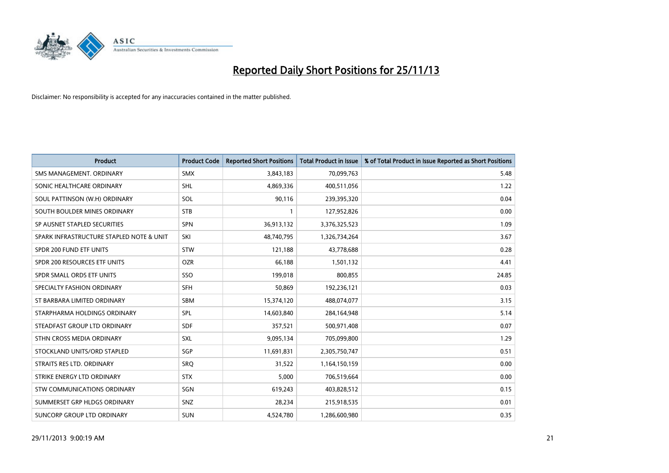

| <b>Product</b>                           | <b>Product Code</b> | <b>Reported Short Positions</b> | <b>Total Product in Issue</b> | % of Total Product in Issue Reported as Short Positions |
|------------------------------------------|---------------------|---------------------------------|-------------------------------|---------------------------------------------------------|
| SMS MANAGEMENT, ORDINARY                 | <b>SMX</b>          | 3,843,183                       | 70,099,763                    | 5.48                                                    |
| SONIC HEALTHCARE ORDINARY                | <b>SHL</b>          | 4,869,336                       | 400,511,056                   | 1.22                                                    |
| SOUL PATTINSON (W.H) ORDINARY            | SOL                 | 90,116                          | 239,395,320                   | 0.04                                                    |
| SOUTH BOULDER MINES ORDINARY             | <b>STB</b>          | 1                               | 127,952,826                   | 0.00                                                    |
| SP AUSNET STAPLED SECURITIES             | SPN                 | 36,913,132                      | 3,376,325,523                 | 1.09                                                    |
| SPARK INFRASTRUCTURE STAPLED NOTE & UNIT | SKI                 | 48,740,795                      | 1,326,734,264                 | 3.67                                                    |
| SPDR 200 FUND ETF UNITS                  | <b>STW</b>          | 121,188                         | 43,778,688                    | 0.28                                                    |
| SPDR 200 RESOURCES ETF UNITS             | <b>OZR</b>          | 66,188                          | 1,501,132                     | 4.41                                                    |
| SPDR SMALL ORDS ETF UNITS                | SSO                 | 199,018                         | 800,855                       | 24.85                                                   |
| SPECIALTY FASHION ORDINARY               | <b>SFH</b>          | 50,869                          | 192,236,121                   | 0.03                                                    |
| ST BARBARA LIMITED ORDINARY              | <b>SBM</b>          | 15,374,120                      | 488,074,077                   | 3.15                                                    |
| STARPHARMA HOLDINGS ORDINARY             | <b>SPL</b>          | 14,603,840                      | 284,164,948                   | 5.14                                                    |
| STEADFAST GROUP LTD ORDINARY             | <b>SDF</b>          | 357,521                         | 500,971,408                   | 0.07                                                    |
| STHN CROSS MEDIA ORDINARY                | SXL                 | 9,095,134                       | 705,099,800                   | 1.29                                                    |
| STOCKLAND UNITS/ORD STAPLED              | SGP                 | 11,691,831                      | 2,305,750,747                 | 0.51                                                    |
| STRAITS RES LTD. ORDINARY                | <b>SRQ</b>          | 31,522                          | 1,164,150,159                 | 0.00                                                    |
| STRIKE ENERGY LTD ORDINARY               | <b>STX</b>          | 5,000                           | 706,519,664                   | 0.00                                                    |
| STW COMMUNICATIONS ORDINARY              | SGN                 | 619,243                         | 403,828,512                   | 0.15                                                    |
| SUMMERSET GRP HLDGS ORDINARY             | SNZ                 | 28,234                          | 215,918,535                   | 0.01                                                    |
| SUNCORP GROUP LTD ORDINARY               | <b>SUN</b>          | 4,524,780                       | 1,286,600,980                 | 0.35                                                    |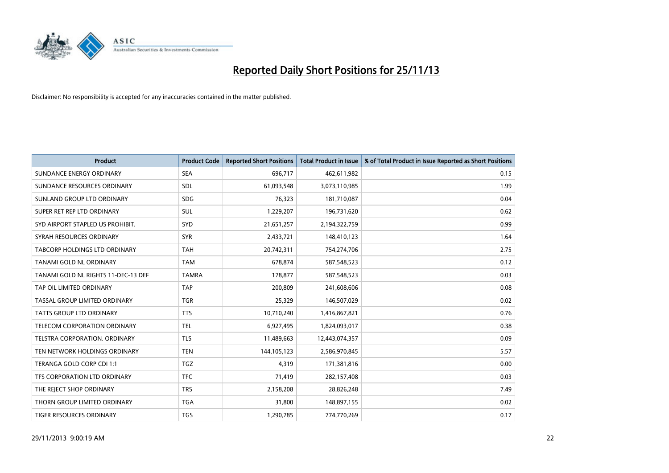

| <b>Product</b>                      | <b>Product Code</b> | <b>Reported Short Positions</b> | <b>Total Product in Issue</b> | % of Total Product in Issue Reported as Short Positions |
|-------------------------------------|---------------------|---------------------------------|-------------------------------|---------------------------------------------------------|
| SUNDANCE ENERGY ORDINARY            | <b>SEA</b>          | 696,717                         | 462,611,982                   | 0.15                                                    |
| SUNDANCE RESOURCES ORDINARY         | <b>SDL</b>          | 61,093,548                      | 3,073,110,985                 | 1.99                                                    |
| SUNLAND GROUP LTD ORDINARY          | <b>SDG</b>          | 76,323                          | 181,710,087                   | 0.04                                                    |
| SUPER RET REP LTD ORDINARY          | SUL                 | 1,229,207                       | 196,731,620                   | 0.62                                                    |
| SYD AIRPORT STAPLED US PROHIBIT.    | <b>SYD</b>          | 21,651,257                      | 2,194,322,759                 | 0.99                                                    |
| SYRAH RESOURCES ORDINARY            | <b>SYR</b>          | 2,433,721                       | 148,410,123                   | 1.64                                                    |
| TABCORP HOLDINGS LTD ORDINARY       | <b>TAH</b>          | 20,742,311                      | 754,274,706                   | 2.75                                                    |
| TANAMI GOLD NL ORDINARY             | <b>TAM</b>          | 678,874                         | 587,548,523                   | 0.12                                                    |
| TANAMI GOLD NL RIGHTS 11-DEC-13 DEF | <b>TAMRA</b>        | 178,877                         | 587,548,523                   | 0.03                                                    |
| TAP OIL LIMITED ORDINARY            | <b>TAP</b>          | 200,809                         | 241,608,606                   | 0.08                                                    |
| TASSAL GROUP LIMITED ORDINARY       | <b>TGR</b>          | 25,329                          | 146,507,029                   | 0.02                                                    |
| <b>TATTS GROUP LTD ORDINARY</b>     | <b>TTS</b>          | 10,710,240                      | 1,416,867,821                 | 0.76                                                    |
| TELECOM CORPORATION ORDINARY        | <b>TEL</b>          | 6,927,495                       | 1,824,093,017                 | 0.38                                                    |
| TELSTRA CORPORATION, ORDINARY       | <b>TLS</b>          | 11,489,663                      | 12,443,074,357                | 0.09                                                    |
| TEN NETWORK HOLDINGS ORDINARY       | <b>TEN</b>          | 144, 105, 123                   | 2,586,970,845                 | 5.57                                                    |
| TERANGA GOLD CORP CDI 1:1           | <b>TGZ</b>          | 4,319                           | 171,381,816                   | 0.00                                                    |
| TFS CORPORATION LTD ORDINARY        | <b>TFC</b>          | 71,419                          | 282,157,408                   | 0.03                                                    |
| THE REJECT SHOP ORDINARY            | <b>TRS</b>          | 2,158,208                       | 28,826,248                    | 7.49                                                    |
| THORN GROUP LIMITED ORDINARY        | <b>TGA</b>          | 31,800                          | 148,897,155                   | 0.02                                                    |
| TIGER RESOURCES ORDINARY            | <b>TGS</b>          | 1,290,785                       | 774,770,269                   | 0.17                                                    |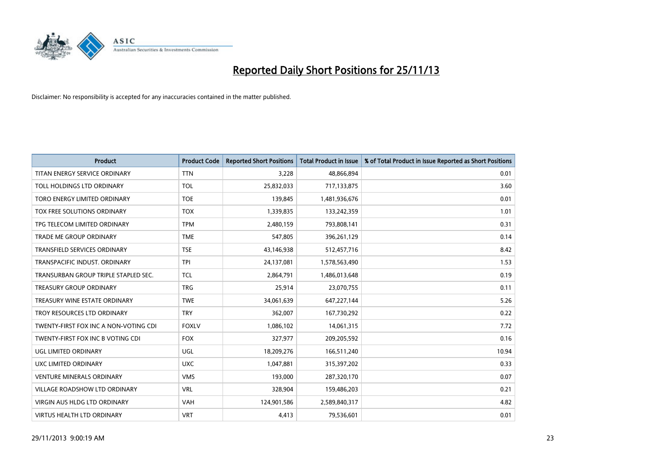

| <b>Product</b>                        | <b>Product Code</b> | <b>Reported Short Positions</b> | <b>Total Product in Issue</b> | % of Total Product in Issue Reported as Short Positions |
|---------------------------------------|---------------------|---------------------------------|-------------------------------|---------------------------------------------------------|
| TITAN ENERGY SERVICE ORDINARY         | <b>TTN</b>          | 3,228                           | 48,866,894                    | 0.01                                                    |
| TOLL HOLDINGS LTD ORDINARY            | <b>TOL</b>          | 25,832,033                      | 717,133,875                   | 3.60                                                    |
| TORO ENERGY LIMITED ORDINARY          | <b>TOE</b>          | 139,845                         | 1,481,936,676                 | 0.01                                                    |
| TOX FREE SOLUTIONS ORDINARY           | <b>TOX</b>          | 1,339,835                       | 133,242,359                   | 1.01                                                    |
| TPG TELECOM LIMITED ORDINARY          | <b>TPM</b>          | 2,480,159                       | 793,808,141                   | 0.31                                                    |
| TRADE ME GROUP ORDINARY               | <b>TME</b>          | 547,805                         | 396,261,129                   | 0.14                                                    |
| TRANSFIELD SERVICES ORDINARY          | <b>TSE</b>          | 43,146,938                      | 512,457,716                   | 8.42                                                    |
| TRANSPACIFIC INDUST. ORDINARY         | <b>TPI</b>          | 24,137,081                      | 1,578,563,490                 | 1.53                                                    |
| TRANSURBAN GROUP TRIPLE STAPLED SEC.  | <b>TCL</b>          | 2,864,791                       | 1,486,013,648                 | 0.19                                                    |
| <b>TREASURY GROUP ORDINARY</b>        | <b>TRG</b>          | 25,914                          | 23,070,755                    | 0.11                                                    |
| TREASURY WINE ESTATE ORDINARY         | <b>TWE</b>          | 34,061,639                      | 647,227,144                   | 5.26                                                    |
| TROY RESOURCES LTD ORDINARY           | <b>TRY</b>          | 362,007                         | 167,730,292                   | 0.22                                                    |
| TWENTY-FIRST FOX INC A NON-VOTING CDI | <b>FOXLV</b>        | 1,086,102                       | 14,061,315                    | 7.72                                                    |
| TWENTY-FIRST FOX INC B VOTING CDI     | <b>FOX</b>          | 327,977                         | 209,205,592                   | 0.16                                                    |
| UGL LIMITED ORDINARY                  | UGL                 | 18,209,276                      | 166,511,240                   | 10.94                                                   |
| UXC LIMITED ORDINARY                  | <b>UXC</b>          | 1,047,881                       | 315,397,202                   | 0.33                                                    |
| <b>VENTURE MINERALS ORDINARY</b>      | <b>VMS</b>          | 193,000                         | 287,320,170                   | 0.07                                                    |
| VILLAGE ROADSHOW LTD ORDINARY         | <b>VRL</b>          | 328,904                         | 159,486,203                   | 0.21                                                    |
| VIRGIN AUS HLDG LTD ORDINARY          | <b>VAH</b>          | 124,901,586                     | 2,589,840,317                 | 4.82                                                    |
| VIRTUS HEALTH LTD ORDINARY            | <b>VRT</b>          | 4,413                           | 79,536,601                    | 0.01                                                    |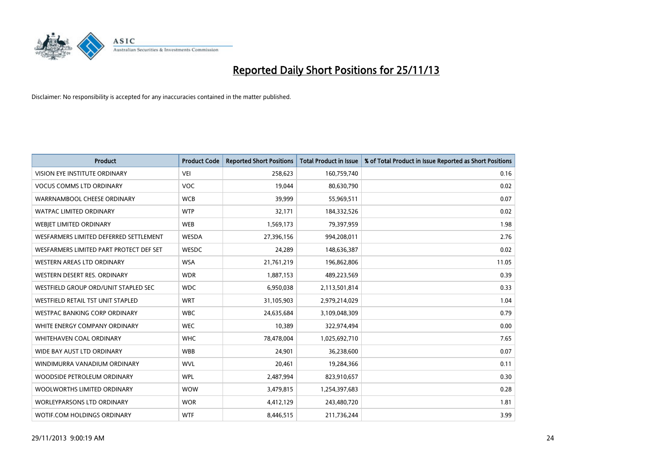

| <b>Product</b>                          | <b>Product Code</b> | <b>Reported Short Positions</b> | <b>Total Product in Issue</b> | % of Total Product in Issue Reported as Short Positions |
|-----------------------------------------|---------------------|---------------------------------|-------------------------------|---------------------------------------------------------|
| VISION EYE INSTITUTE ORDINARY           | <b>VEI</b>          | 258,623                         | 160,759,740                   | 0.16                                                    |
| VOCUS COMMS LTD ORDINARY                | <b>VOC</b>          | 19,044                          | 80,630,790                    | 0.02                                                    |
| WARRNAMBOOL CHEESE ORDINARY             | <b>WCB</b>          | 39,999                          | 55,969,511                    | 0.07                                                    |
| WATPAC LIMITED ORDINARY                 | <b>WTP</b>          | 32,171                          | 184,332,526                   | 0.02                                                    |
| WEBJET LIMITED ORDINARY                 | <b>WEB</b>          | 1,569,173                       | 79,397,959                    | 1.98                                                    |
| WESFARMERS LIMITED DEFERRED SETTLEMENT  | WESDA               | 27,396,156                      | 994,208,011                   | 2.76                                                    |
| WESFARMERS LIMITED PART PROTECT DEF SET | WESDC               | 24,289                          | 148,636,387                   | 0.02                                                    |
| WESTERN AREAS LTD ORDINARY              | <b>WSA</b>          | 21,761,219                      | 196,862,806                   | 11.05                                                   |
| WESTERN DESERT RES. ORDINARY            | <b>WDR</b>          | 1,887,153                       | 489,223,569                   | 0.39                                                    |
| WESTFIELD GROUP ORD/UNIT STAPLED SEC    | <b>WDC</b>          | 6,950,038                       | 2,113,501,814                 | 0.33                                                    |
| WESTFIELD RETAIL TST UNIT STAPLED       | <b>WRT</b>          | 31,105,903                      | 2,979,214,029                 | 1.04                                                    |
| <b>WESTPAC BANKING CORP ORDINARY</b>    | <b>WBC</b>          | 24,635,684                      | 3,109,048,309                 | 0.79                                                    |
| WHITE ENERGY COMPANY ORDINARY           | <b>WEC</b>          | 10,389                          | 322,974,494                   | 0.00                                                    |
| WHITEHAVEN COAL ORDINARY                | <b>WHC</b>          | 78,478,004                      | 1,025,692,710                 | 7.65                                                    |
| WIDE BAY AUST LTD ORDINARY              | <b>WBB</b>          | 24,901                          | 36,238,600                    | 0.07                                                    |
| WINDIMURRA VANADIUM ORDINARY            | <b>WVL</b>          | 20,461                          | 19,284,366                    | 0.11                                                    |
| WOODSIDE PETROLEUM ORDINARY             | <b>WPL</b>          | 2,487,994                       | 823,910,657                   | 0.30                                                    |
| WOOLWORTHS LIMITED ORDINARY             | <b>WOW</b>          | 3,479,815                       | 1,254,397,683                 | 0.28                                                    |
| <b>WORLEYPARSONS LTD ORDINARY</b>       | <b>WOR</b>          | 4,412,129                       | 243,480,720                   | 1.81                                                    |
| WOTIF.COM HOLDINGS ORDINARY             | <b>WTF</b>          | 8,446,515                       | 211,736,244                   | 3.99                                                    |